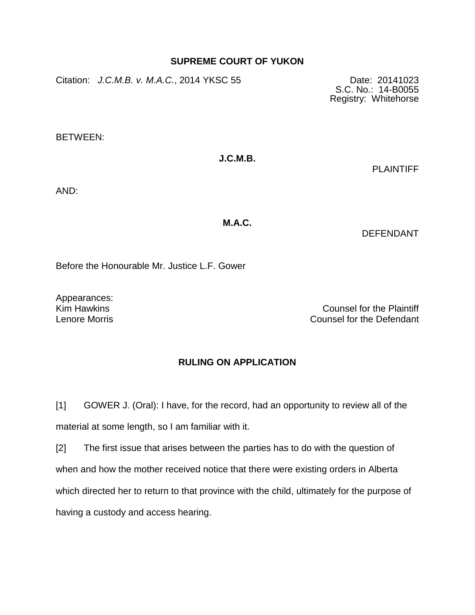## **SUPREME COURT OF YUKON**

Citation: *J.C.M.B. v. M.A.C.*, 2014 YKSC 55 Date: 20141023

S.C. No.: 14-B0055 Registry: Whitehorse

BETWEEN:

## **J.C.M.B.**

PLAINTIFF

AND:

**M.A.C.**

DEFENDANT

Before the Honourable Mr. Justice L.F. Gower

Appearances:

Kim Hawkins Counsel for the Plaintiff Lenore Morris Counsel for the Defendant

## **RULING ON APPLICATION**

[1] GOWER J. (Oral): I have, for the record, had an opportunity to review all of the material at some length, so I am familiar with it.

[2] The first issue that arises between the parties has to do with the question of when and how the mother received notice that there were existing orders in Alberta which directed her to return to that province with the child, ultimately for the purpose of having a custody and access hearing.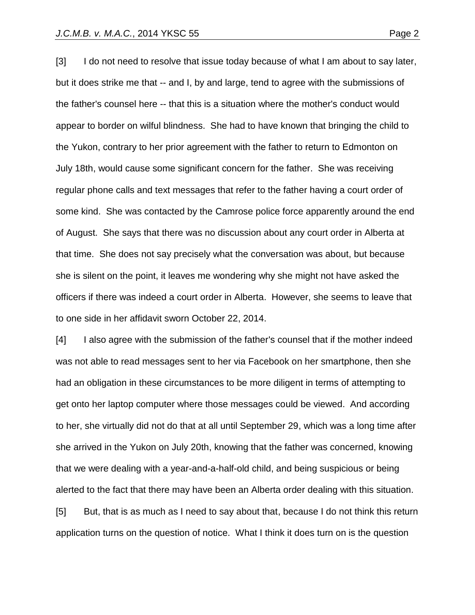[3] I do not need to resolve that issue today because of what I am about to say later, but it does strike me that -- and I, by and large, tend to agree with the submissions of the father's counsel here -- that this is a situation where the mother's conduct would appear to border on wilful blindness. She had to have known that bringing the child to the Yukon, contrary to her prior agreement with the father to return to Edmonton on July 18th, would cause some significant concern for the father. She was receiving regular phone calls and text messages that refer to the father having a court order of some kind. She was contacted by the Camrose police force apparently around the end of August. She says that there was no discussion about any court order in Alberta at that time. She does not say precisely what the conversation was about, but because she is silent on the point, it leaves me wondering why she might not have asked the officers if there was indeed a court order in Alberta. However, she seems to leave that to one side in her affidavit sworn October 22, 2014.

[4] I also agree with the submission of the father's counsel that if the mother indeed was not able to read messages sent to her via Facebook on her smartphone, then she had an obligation in these circumstances to be more diligent in terms of attempting to get onto her laptop computer where those messages could be viewed. And according to her, she virtually did not do that at all until September 29, which was a long time after she arrived in the Yukon on July 20th, knowing that the father was concerned, knowing that we were dealing with a year-and-a-half-old child, and being suspicious or being alerted to the fact that there may have been an Alberta order dealing with this situation. [5] But, that is as much as I need to say about that, because I do not think this return

application turns on the question of notice. What I think it does turn on is the question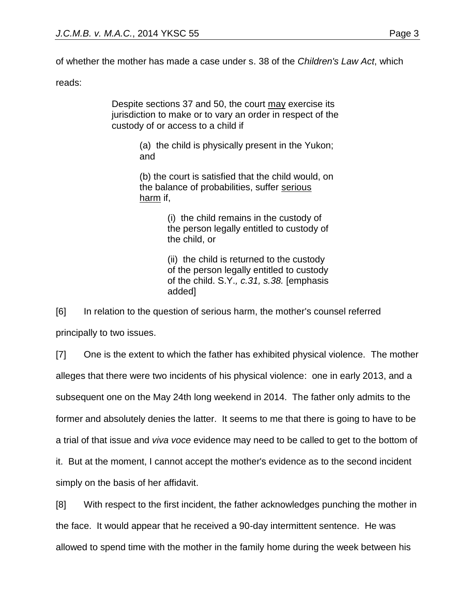reads:

Despite sections 37 and 50, the court may exercise its jurisdiction to make or to vary an order in respect of the custody of or access to a child if

> (a) the child is physically present in the Yukon; and

> (b) the court is satisfied that the child would, on the balance of probabilities, suffer serious harm if,

> > (i) the child remains in the custody of the person legally entitled to custody of the child, or

> > (ii) the child is returned to the custody of the person legally entitled to custody of the child. S.Y.*, c.31, s.38.* [emphasis added]

[6] In relation to the question of serious harm, the mother's counsel referred principally to two issues.

[7] One is the extent to which the father has exhibited physical violence. The mother alleges that there were two incidents of his physical violence: one in early 2013, and a subsequent one on the May 24th long weekend in 2014. The father only admits to the former and absolutely denies the latter. It seems to me that there is going to have to be a trial of that issue and *viva voce* evidence may need to be called to get to the bottom of it. But at the moment, I cannot accept the mother's evidence as to the second incident simply on the basis of her affidavit.

[8] With respect to the first incident, the father acknowledges punching the mother in the face. It would appear that he received a 90-day intermittent sentence. He was allowed to spend time with the mother in the family home during the week between his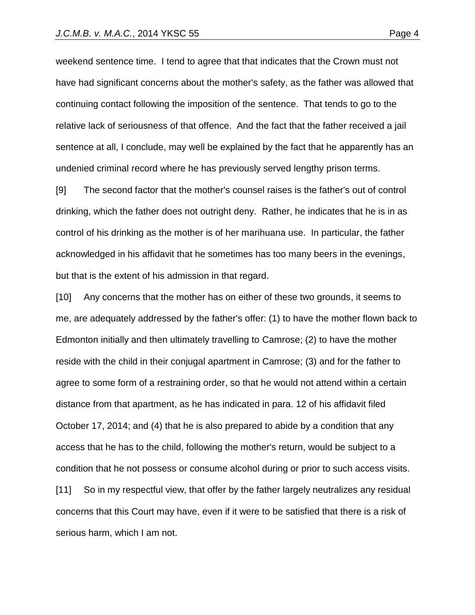weekend sentence time. I tend to agree that that indicates that the Crown must not have had significant concerns about the mother's safety, as the father was allowed that continuing contact following the imposition of the sentence. That tends to go to the relative lack of seriousness of that offence. And the fact that the father received a jail sentence at all, I conclude, may well be explained by the fact that he apparently has an undenied criminal record where he has previously served lengthy prison terms.

[9] The second factor that the mother's counsel raises is the father's out of control drinking, which the father does not outright deny. Rather, he indicates that he is in as control of his drinking as the mother is of her marihuana use. In particular, the father acknowledged in his affidavit that he sometimes has too many beers in the evenings, but that is the extent of his admission in that regard.

[10] Any concerns that the mother has on either of these two grounds, it seems to me, are adequately addressed by the father's offer: (1) to have the mother flown back to Edmonton initially and then ultimately travelling to Camrose; (2) to have the mother reside with the child in their conjugal apartment in Camrose; (3) and for the father to agree to some form of a restraining order, so that he would not attend within a certain distance from that apartment, as he has indicated in para. 12 of his affidavit filed October 17, 2014; and (4) that he is also prepared to abide by a condition that any access that he has to the child, following the mother's return, would be subject to a condition that he not possess or consume alcohol during or prior to such access visits. [11] So in my respectful view, that offer by the father largely neutralizes any residual concerns that this Court may have, even if it were to be satisfied that there is a risk of serious harm, which I am not.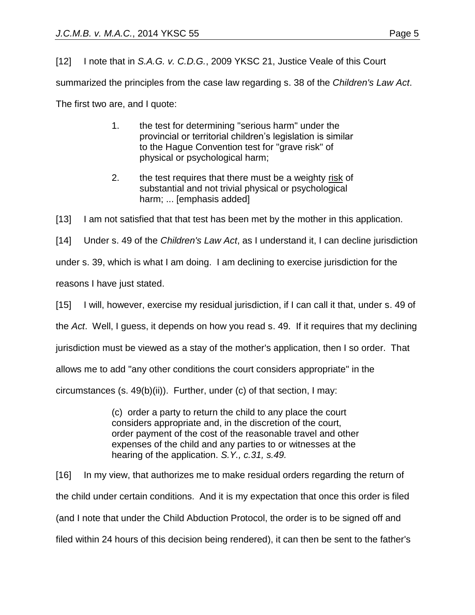[12] I note that in *S.A.G. v. C.D.G.*, 2009 YKSC 21, Justice Veale of this Court summarized the principles from the case law regarding s. 38 of the *Children's Law Act*. The first two are, and I quote:

- 1. the test for determining "serious harm" under the provincial or territorial children's legislation is similar to the Hague Convention test for "grave risk" of physical or psychological harm;
- 2. the test requires that there must be a weighty risk of substantial and not trivial physical or psychological harm; ... [emphasis added]

[13] I am not satisfied that that test has been met by the mother in this application.

[14] Under s. 49 of the *Children's Law Act*, as I understand it, I can decline jurisdiction

under s. 39, which is what I am doing. I am declining to exercise jurisdiction for the

reasons I have just stated.

[15] I will, however, exercise my residual jurisdiction, if I can call it that, under s. 49 of

the *Act*. Well, I guess, it depends on how you read s. 49. If it requires that my declining

jurisdiction must be viewed as a stay of the mother's application, then I so order. That

allows me to add "any other conditions the court considers appropriate" in the

circumstances (s. 49(b)(ii)). Further, under (c) of that section, I may:

(c) order a party to return the child to any place the court considers appropriate and, in the discretion of the court, order payment of the cost of the reasonable travel and other expenses of the child and any parties to or witnesses at the hearing of the application. *S.Y., c.31, s.49.*

[16] In my view, that authorizes me to make residual orders regarding the return of the child under certain conditions. And it is my expectation that once this order is filed (and I note that under the Child Abduction Protocol, the order is to be signed off and filed within 24 hours of this decision being rendered), it can then be sent to the father's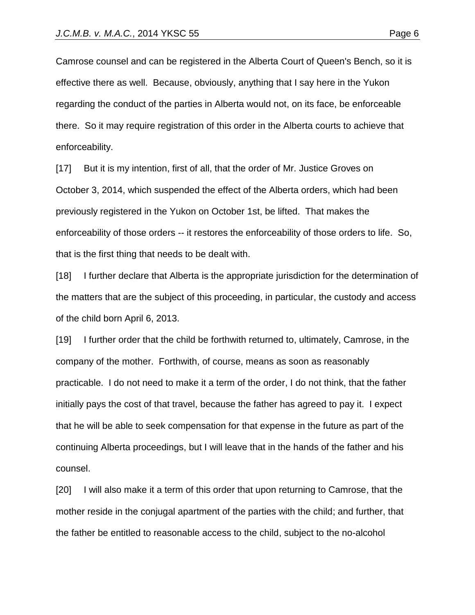Camrose counsel and can be registered in the Alberta Court of Queen's Bench, so it is effective there as well. Because, obviously, anything that I say here in the Yukon regarding the conduct of the parties in Alberta would not, on its face, be enforceable there. So it may require registration of this order in the Alberta courts to achieve that enforceability.

[17] But it is my intention, first of all, that the order of Mr. Justice Groves on October 3, 2014, which suspended the effect of the Alberta orders, which had been previously registered in the Yukon on October 1st, be lifted. That makes the enforceability of those orders -- it restores the enforceability of those orders to life. So, that is the first thing that needs to be dealt with.

[18] I further declare that Alberta is the appropriate jurisdiction for the determination of the matters that are the subject of this proceeding, in particular, the custody and access of the child born April 6, 2013.

[19] I further order that the child be forthwith returned to, ultimately, Camrose, in the company of the mother. Forthwith, of course, means as soon as reasonably practicable. I do not need to make it a term of the order, I do not think, that the father initially pays the cost of that travel, because the father has agreed to pay it. I expect that he will be able to seek compensation for that expense in the future as part of the continuing Alberta proceedings, but I will leave that in the hands of the father and his counsel.

[20] I will also make it a term of this order that upon returning to Camrose, that the mother reside in the conjugal apartment of the parties with the child; and further, that the father be entitled to reasonable access to the child, subject to the no-alcohol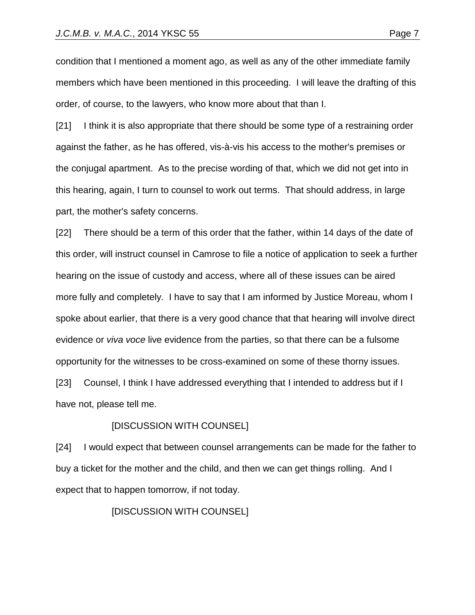condition that I mentioned a moment ago, as well as any of the other immediate family members which have been mentioned in this proceeding. I will leave the drafting of this order, of course, to the lawyers, who know more about that than I.

[21] I think it is also appropriate that there should be some type of a restraining order against the father, as he has offered, vis-à-vis his access to the mother's premises or the conjugal apartment. As to the precise wording of that, which we did not get into in this hearing, again, I turn to counsel to work out terms. That should address, in large part, the mother's safety concerns.

[22] There should be a term of this order that the father, within 14 days of the date of this order, will instruct counsel in Camrose to file a notice of application to seek a further hearing on the issue of custody and access, where all of these issues can be aired more fully and completely. I have to say that I am informed by Justice Moreau, whom I spoke about earlier, that there is a very good chance that that hearing will involve direct evidence or *viva voce* live evidence from the parties, so that there can be a fulsome opportunity for the witnesses to be cross-examined on some of these thorny issues. [23] Counsel, I think I have addressed everything that I intended to address but if I

have not, please tell me.

## [DISCUSSION WITH COUNSEL]

[24] I would expect that between counsel arrangements can be made for the father to buy a ticket for the mother and the child, and then we can get things rolling. And I expect that to happen tomorrow, if not today.

[DISCUSSION WITH COUNSEL]